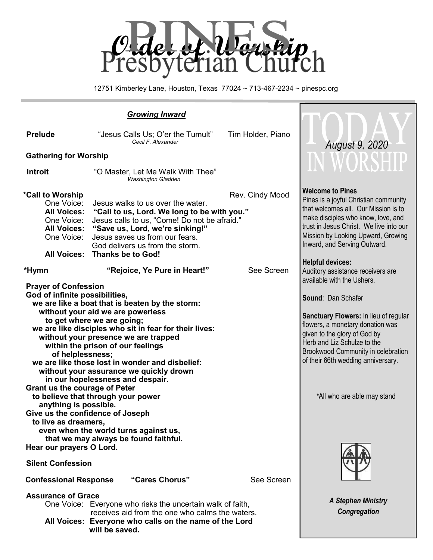

12751 Kimberley Lane, Houston, Texas 77024 ~ 713-467-2234 ~ pinespc.org

| <b>Growing Inward</b>                                                                                                                                                                                                                                                                                                                                                                                                                                                                                                    |                                                                                                                                                                                                                                                                      |                   |                                                                                                                                                                                                                                                                                            |
|--------------------------------------------------------------------------------------------------------------------------------------------------------------------------------------------------------------------------------------------------------------------------------------------------------------------------------------------------------------------------------------------------------------------------------------------------------------------------------------------------------------------------|----------------------------------------------------------------------------------------------------------------------------------------------------------------------------------------------------------------------------------------------------------------------|-------------------|--------------------------------------------------------------------------------------------------------------------------------------------------------------------------------------------------------------------------------------------------------------------------------------------|
| <b>Prelude</b>                                                                                                                                                                                                                                                                                                                                                                                                                                                                                                           | "Jesus Calls Us; O'er the Tumult"<br>Cecil F. Alexander                                                                                                                                                                                                              | Tim Holder, Piano | August 9, 2020                                                                                                                                                                                                                                                                             |
| <b>Gathering for Worship</b>                                                                                                                                                                                                                                                                                                                                                                                                                                                                                             |                                                                                                                                                                                                                                                                      |                   |                                                                                                                                                                                                                                                                                            |
| <b>Introit</b>                                                                                                                                                                                                                                                                                                                                                                                                                                                                                                           | "O Master, Let Me Walk With Thee"<br><b>Washington Gladden</b>                                                                                                                                                                                                       |                   | <b>IN WORSHIP</b>                                                                                                                                                                                                                                                                          |
| *Call to Worship<br>One Voice:<br><b>All Voices:</b><br>One Voice:<br><b>All Voices:</b><br>One Voice:<br><b>All Voices:</b>                                                                                                                                                                                                                                                                                                                                                                                             | Jesus walks to us over the water.<br>"Call to us, Lord. We long to be with you."<br>Jesus calls to us, "Come! Do not be afraid."<br>"Save us, Lord, we're sinking!"<br>Jesus saves us from our fears.<br>God delivers us from the storm.<br><b>Thanks be to God!</b> | Rev. Cindy Mood   | <b>Welcome to Pines</b><br>Pines is a joyful Christian community<br>that welcomes all. Our Mission is to<br>make disciples who know, love, and<br>trust in Jesus Christ. We live into our<br>Mission by Looking Upward, Growing<br>Inward, and Serving Outward.<br><b>Helpful devices:</b> |
| *Hymn                                                                                                                                                                                                                                                                                                                                                                                                                                                                                                                    | "Rejoice, Ye Pure in Heart!"                                                                                                                                                                                                                                         | See Screen        | Auditory assistance receivers are<br>available with the Ushers.                                                                                                                                                                                                                            |
| <b>Prayer of Confession</b><br>God of infinite possibilities,<br>we are like a boat that is beaten by the storm:<br>without your aid we are powerless<br>to get where we are going;<br>we are like disciples who sit in fear for their lives:<br>without your presence we are trapped<br>within the prison of our feelings<br>of helplessness;<br>we are like those lost in wonder and disbelief:<br>without your assurance we quickly drown<br>in our hopelessness and despair.<br><b>Grant us the courage of Peter</b> |                                                                                                                                                                                                                                                                      |                   | Sound: Dan Schafer<br>Sanctuary Flowers: In lieu of regular<br>flowers, a monetary donation was<br>given to the glory of God by<br>Herb and Liz Schulze to the<br>Brookwood Community in celebration<br>of their 66th wedding anniversary.                                                 |
| to believe that through your power<br>anything is possible.<br>Give us the confidence of Joseph<br>to live as dreamers,<br>even when the world turns against us,<br>that we may always be found faithful.<br>Hear our prayers O Lord.                                                                                                                                                                                                                                                                                    | *All who are able may stand                                                                                                                                                                                                                                          |                   |                                                                                                                                                                                                                                                                                            |
| <b>Silent Confession</b>                                                                                                                                                                                                                                                                                                                                                                                                                                                                                                 |                                                                                                                                                                                                                                                                      |                   |                                                                                                                                                                                                                                                                                            |
| "Cares Chorus"<br>See Screen<br><b>Confessional Response</b>                                                                                                                                                                                                                                                                                                                                                                                                                                                             |                                                                                                                                                                                                                                                                      |                   |                                                                                                                                                                                                                                                                                            |
| <b>Assurance of Grace</b><br>One Voice: Everyone who risks the uncertain walk of faith,<br>receives aid from the one who calms the waters.<br>All Voices: Everyone who calls on the name of the Lord<br>will be saved.                                                                                                                                                                                                                                                                                                   |                                                                                                                                                                                                                                                                      |                   | <b>A Stephen Ministry</b><br>Congregation                                                                                                                                                                                                                                                  |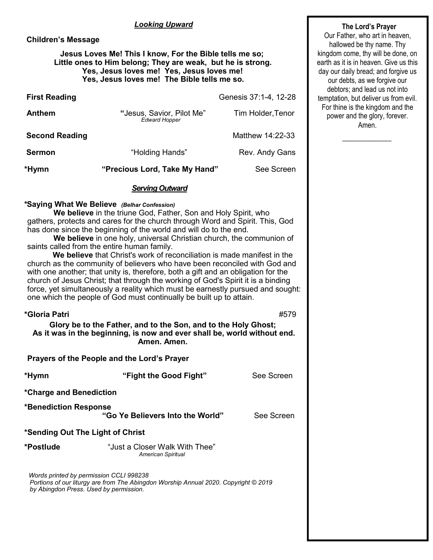#### *Looking Upward*

## **Children's Message**

#### **Jesus Loves Me! This I know, For the Bible tells me so; Little ones to Him belong; They are weak, but he is strong. Yes, Jesus loves me! Yes, Jesus loves me! Yes, Jesus loves me! The Bible tells me so.**

| <b>First Reading</b>  |                                                   | Genesis 37:1-4, 12-28 |
|-----------------------|---------------------------------------------------|-----------------------|
| Anthem                | "Jesus, Savior, Pilot Me"<br><b>Edward Hopper</b> | Tim Holder, Tenor     |
| <b>Second Reading</b> |                                                   | Matthew 14:22-33      |
| <b>Sermon</b>         | "Holding Hands"                                   | Rev. Andy Gans        |
| *Hymn                 | "Precious Lord, Take My Hand"                     | See Screen            |

#### *Serving Outward*

#### **\*Saying What We Believe** *(Belhar Confession)*

**We believe** in the triune God, Father, Son and Holy Spirit, who gathers, protects and cares for the church through Word and Spirit. This, God has done since the beginning of the world and will do to the end.

**We believe** in one holy, universal Christian church, the communion of saints called from the entire human family.

**We believe** that Christ's work of reconciliation is made manifest in the church as the community of believers who have been reconciled with God and with one another; that unity is, therefore, both a gift and an obligation for the church of Jesus Christ; that through the working of God's Spirit it is a binding force, yet simultaneously a reality which must be earnestly pursued and sought: one which the people of God must continually be built up to attain.

| *Gloria Patri                    | Glory be to the Father, and to the Son, and to the Holy Ghost;<br>As it was in the beginning, is now and ever shall be, world without end.<br>Amen, Amen. | #579       |
|----------------------------------|-----------------------------------------------------------------------------------------------------------------------------------------------------------|------------|
|                                  | Prayers of the People and the Lord's Prayer                                                                                                               |            |
| *Hymn                            | "Fight the Good Fight"                                                                                                                                    | See Screen |
| *Charge and Benediction          |                                                                                                                                                           |            |
| <b>*Benediction Response</b>     | "Go Ye Believers Into the World"                                                                                                                          | See Screen |
| *Sending Out The Light of Christ |                                                                                                                                                           |            |
| *Postlude                        | "Just a Closer Walk With Thee"<br><b>American Spiritual</b>                                                                                               |            |

*Words printed by permission CCLI 998238 Portions of our liturgy are from The Abingdon Worship Annual 2020. Copyright © 2019 by Abingdon Press. Used by permission.*

### **The Lord's Prayer**

Our Father, who art in heaven, hallowed be thy name. Thy kingdom come, thy will be done, on earth as it is in heaven. Give us this day our daily bread; and forgive us our debts, as we forgive our debtors; and lead us not into temptation, but deliver us from evil. For thine is the kingdom and the power and the glory, forever. Amen.

 $\overline{\phantom{a}}$  ,  $\overline{\phantom{a}}$  ,  $\overline{\phantom{a}}$  ,  $\overline{\phantom{a}}$  ,  $\overline{\phantom{a}}$  ,  $\overline{\phantom{a}}$  ,  $\overline{\phantom{a}}$  ,  $\overline{\phantom{a}}$  ,  $\overline{\phantom{a}}$  ,  $\overline{\phantom{a}}$  ,  $\overline{\phantom{a}}$  ,  $\overline{\phantom{a}}$  ,  $\overline{\phantom{a}}$  ,  $\overline{\phantom{a}}$  ,  $\overline{\phantom{a}}$  ,  $\overline{\phantom{a}}$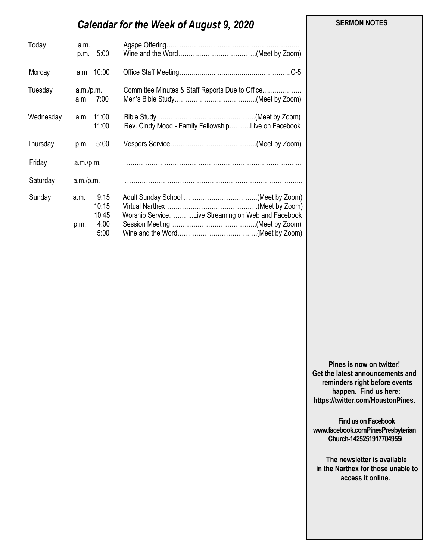# *Calendar for the Week of August 9, 2020*

| Today     | a.m.<br>5:00<br>p.m.           |                                                     |
|-----------|--------------------------------|-----------------------------------------------------|
| Monday    | a.m. 10:00                     |                                                     |
| Tuesday   | a.m./p.m.<br>a.m. 7:00         | Committee Minutes & Staff Reports Due to Office     |
| Wednesday | a.m. 11:00<br>11:00            | Rev. Cindy Mood - Family FellowshipLive on Facebook |
| Thursday  | 5:00<br>p.m.                   |                                                     |
| Friday    |                                |                                                     |
| Saturday  | a.m./p.m.                      |                                                     |
| Sunday    | 9:15<br>a.m.<br>10:15<br>10:45 | Worship ServiceLive Streaming on Web and Facebook   |
|           | 4:00<br>p.m.<br>5:00           |                                                     |

 **SERMON NOTES** 

**Pines is now on twitter! Get the latest announcements and reminders right before events happen. Find us here: https://twitter.com/HoustonPines.** 

 **Find us on Facebook www.facebook.comPinesPresbyterian Church-1425251917704955/**

 **The newsletter is available in the Narthex for those unable to access it online.**